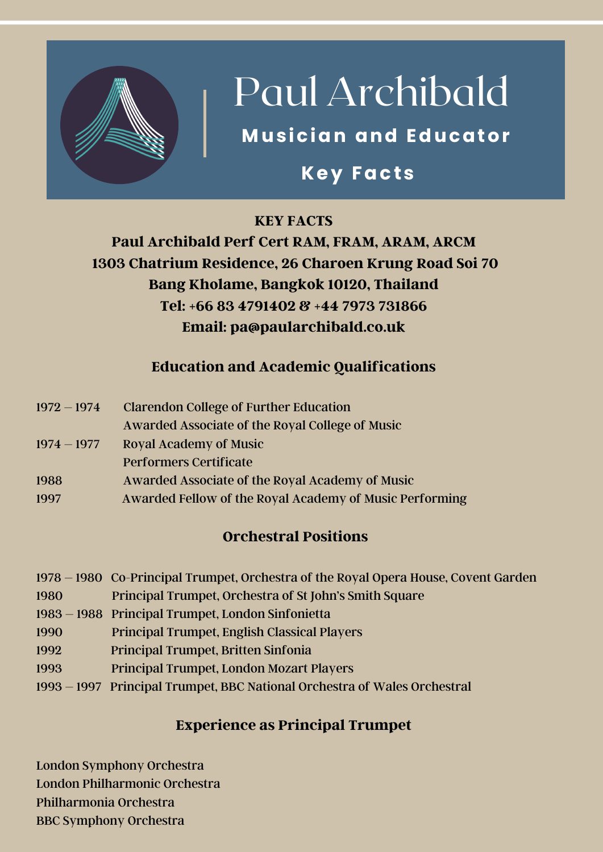

## Paul Archibald

### **Musician and Educator**

### **Key Facts**

### **KEY FACTS**

### **Paul Archibald Perf Cert RAM, FRAM, ARAM, ARCM 1303 Chatrium Residence, 26 Charoen Krung Road Soi 70 Bang Kholame, Bangkok 10120, Thailand Tel: +66 83 4791402 & +44 7973 731866 Email: pa@paularchibald.co.uk**

### **Education and Academic Qualifications**

| $1972 - 1974$ | <b>Clarendon College of Further Education</b>           |
|---------------|---------------------------------------------------------|
|               | Awarded Associate of the Royal College of Music         |
| $1974 - 1977$ | <b>Royal Academy of Music</b>                           |
|               | <b>Performers Certificate</b>                           |
| 1988          | Awarded Associate of the Royal Academy of Music         |
| 1997          | Awarded Fellow of the Royal Academy of Music Performing |

### **Orchestral Positions**

|      | 1978 – 1980 Co-Principal Trumpet, Orchestra of the Royal Opera House, Covent Garden |
|------|-------------------------------------------------------------------------------------|
| 1980 | <b>Principal Trumpet, Orchestra of St John's Smith Square</b>                       |

- 1983 1988 Principal Trumpet, London Sinfonietta
- 1990 Principal Trumpet, English Classical Players
- 1992 Principal Trumpet, Britten Sinfonia
- 1993 Principal Trumpet, London Mozart Players
- 1993 1997 Principal Trumpet, BBC National Orchestra of Wales Orchestral

### **Experience as Principal Trumpet**

London Symphony Orchestra London Philharmonic Orchestra Philharmonia Orchestra BBC Symphony Orchestra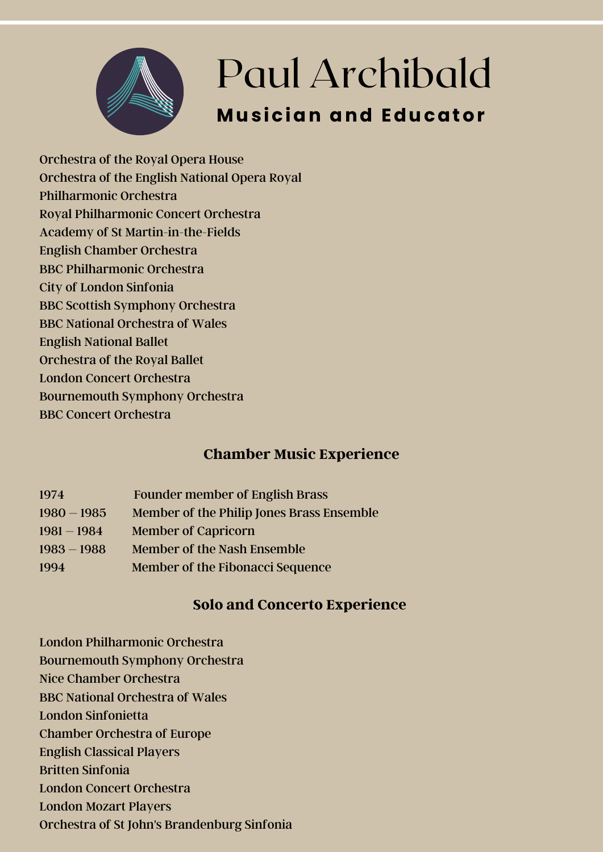

Orchestra of the Royal Opera House Orchestra of the English National Opera Royal Philharmonic Orchestra Royal Philharmonic Concert Orchestra Academy of St Martin-in-the-Fields English Chamber Orchestra BBC Philharmonic Orchestra City of London Sinfonia BBC Scottish Symphony Orchestra BBC National Orchestra of Wales English National Ballet Orchestra of the Royal Ballet London Concert Orchestra Bournemouth Symphony Orchestra BBC Concert Orchestra

### **Chamber Music Experience**

| 1974          | <b>Founder member of English Brass</b>    |
|---------------|-------------------------------------------|
| $1980 - 1985$ | Member of the Philip Jones Brass Ensemble |
| $1981 - 1984$ | <b>Member of Capricorn</b>                |
| $1983 - 1988$ | Member of the Nash Ensemble               |
| 1994          | Member of the Fibonacci Sequence          |

### **Solo and Concerto Experience**

- London Philharmonic Orchestra
- Bournemouth Symphony Orchestra
- Nice Chamber Orchestra
- BBC National Orchestra of Wales
- London Sinfonietta
- Chamber Orchestra of Europe
- English Classical Players
- Britten Sinfonia
- London Concert Orchestra
- London Mozart Players
- Orchestra of St John's Brandenburg Sinfonia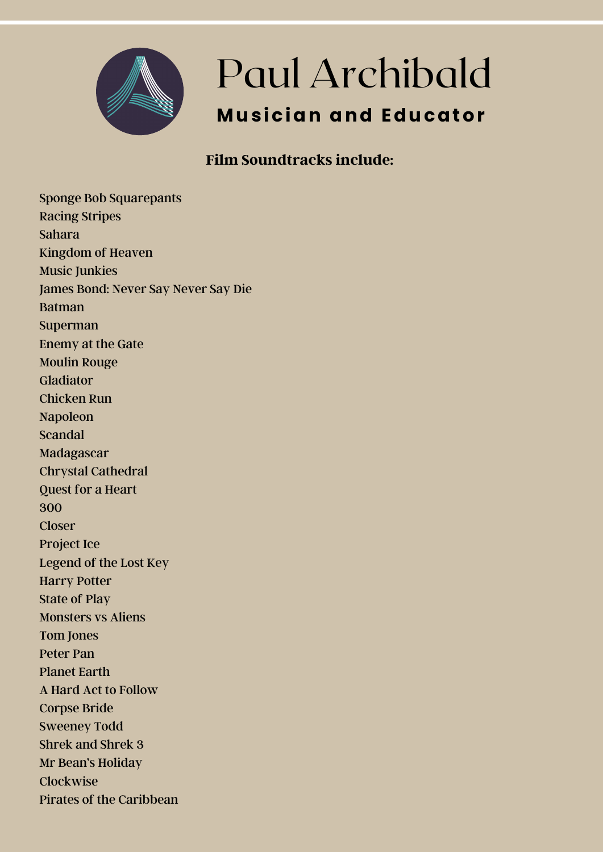

### Paul Archibald **Musician and Educator**

### **Film Soundtracks include:**

Sponge Bob Squarepants Racing Stripes Sahara Kingdom of Heaven Music Junkies James Bond: Never Say Never Say Die Batman Superman Enemy at the Gate Moulin Rouge Gladiator Chicken Run Napoleon Scandal Madagascar Chrystal Cathedral Quest for a Heart 300 **Closer** Project Ice Legend of the Lost Key Harry Potter State of Play Monsters vs Aliens Tom Jones Peter Pan Planet Earth A Hard Act to Follow Corpse Bride Sweeney Todd Shrek and Shrek 3 Mr Bean's Holiday Clockwise Pirates of the Caribbean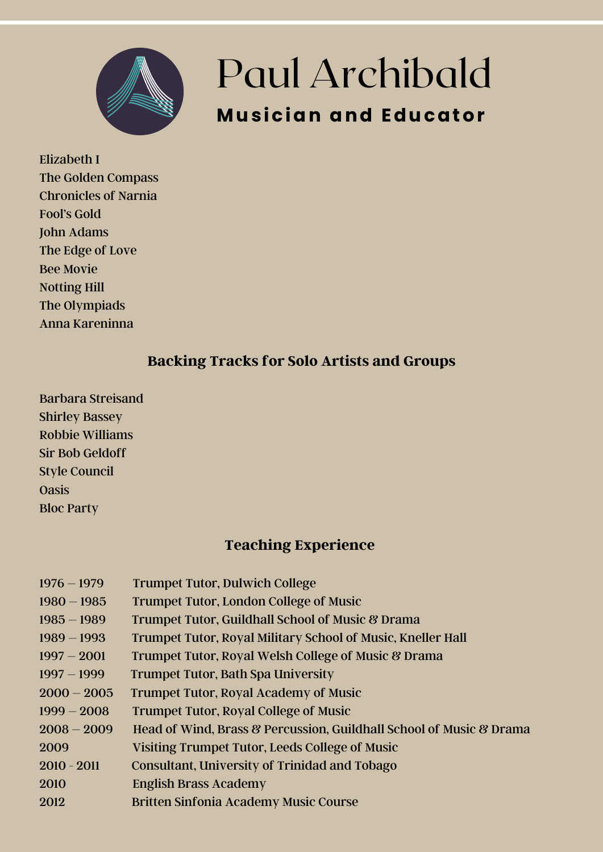

### Paul Archibald **Musician and Educator**

Elizabeth I The Golden Compass Chronicles of Narnia Fool's Gold John Adams The Edge of Love Bee Movie Notting Hill The Olympiads Anna Kareninna

#### **Backing Tracks for Solo Artists and Groups**

Barbara Streisand Shirley Bassey Robbie Williams Sir Bob Geldoff Style Council **Oasis** Bloc Party

### **Teaching Experience**

| $1976 - 1979$ | <b>Trumpet Tutor, Dulwich College</b>                               |
|---------------|---------------------------------------------------------------------|
| $1980 - 1985$ | <b>Trumpet Tutor, London College of Music</b>                       |
| $1985 - 1989$ | Trumpet Tutor, Guildhall School of Music & Drama                    |
| $1989 - 1993$ | Trumpet Tutor, Royal Military School of Music, Kneller Hall         |
| $1997 - 2001$ | Trumpet Tutor, Royal Welsh College of Music & Drama                 |
| $1997 - 1999$ | <b>Trumpet Tutor, Bath Spa University</b>                           |
| $2000 - 2005$ | <b>Trumpet Tutor, Royal Academy of Music</b>                        |
| $1999 - 2008$ | <b>Trumpet Tutor, Royal College of Music</b>                        |
| $2008 - 2009$ | Head of Wind, Brass & Percussion, Guildhall School of Music & Drama |
| 2009          | Visiting Trumpet Tutor, Leeds College of Music                      |
| $2010 - 2011$ | Consultant, University of Trinidad and Tobago                       |
| 2010          | <b>English Brass Academy</b>                                        |
| 2012          | <b>Britten Sinfonia Academy Music Course</b>                        |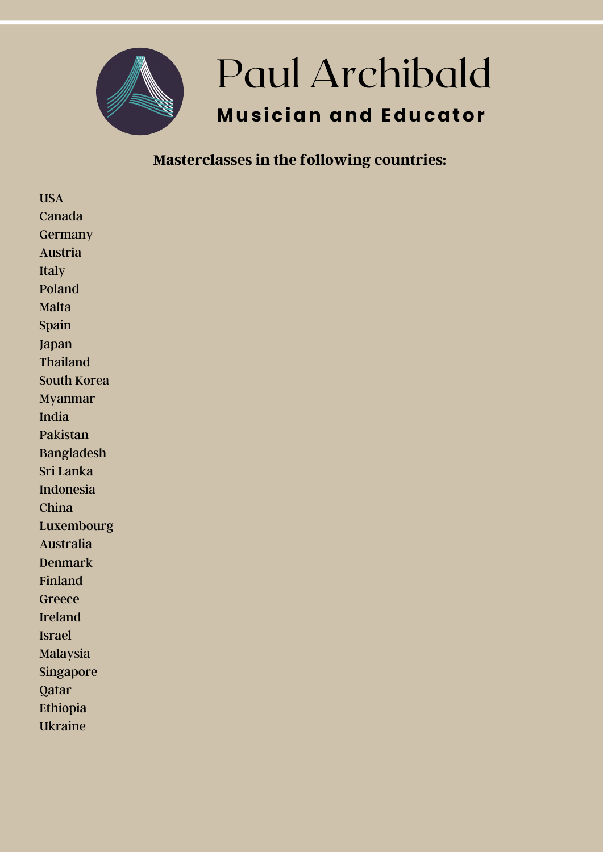

#### **Masterclasses in the following countries:**

USA Canada Germany Austria Italy Poland Malta Spain Japan Thailand South Korea Myanmar India Pakistan Bangladesh Sri Lanka Indonesia China Luxembourg Australia Denmark Finland Greece Ireland Israel Malaysia Singapore Qatar Ethiopia Ukraine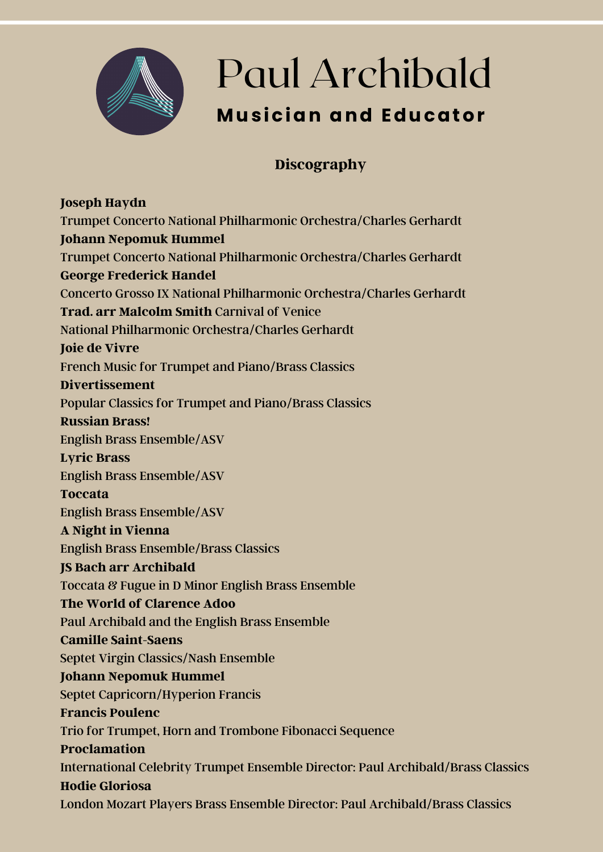

### Paul Archibald **Musician and Educator**

### **Discography**

**Joseph Haydn** Trumpet Concerto National Philharmonic Orchestra/Charles Gerhardt **Johann Nepomuk Hummel** Trumpet Concerto National Philharmonic Orchestra/Charles Gerhardt **George Frederick Handel** Concerto Grosso IX National Philharmonic Orchestra/Charles Gerhardt **Trad. arr Malcolm Smith** Carnival of Venice National Philharmonic Orchestra/Charles Gerhardt **Joie de Vivre** French Music for Trumpet and Piano/Brass Classics **Divertissement** Popular Classics for Trumpet and Piano/Brass Classics **Russian Brass!** English Brass Ensemble/ASV **Lyric Brass** English Brass Ensemble/ASV **Toccata** English Brass Ensemble/ASV **A Night in Vienna** English Brass Ensemble/Brass Classics **JS Bach arr Archibald** Toccata & Fugue in D Minor English Brass Ensemble **The World of Clarence Adoo** Paul Archibald and the English Brass Ensemble **Camille Saint-Saens** Septet Virgin Classics/Nash Ensemble **Johann Nepomuk Hummel** Septet Capricorn/Hyperion Francis **Francis Poulenc** Trio for Trumpet, Horn and Trombone Fibonacci Sequence **Proclamation** International Celebrity Trumpet Ensemble Director: Paul Archibald/Brass Classics **Hodie Gloriosa** London Mozart Players Brass Ensemble Director: Paul Archibald/Brass Classics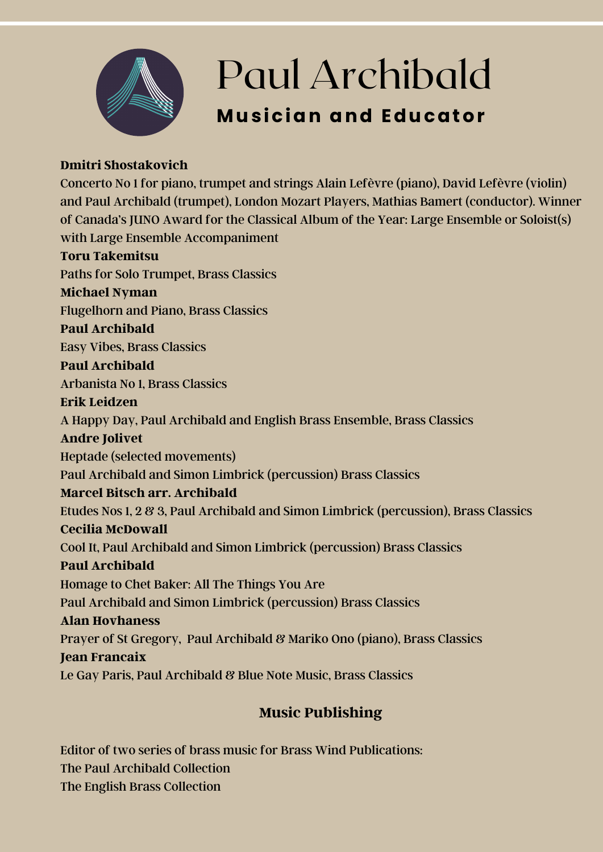

# Paul Archibald

### **Musician and Educator**

#### **Dmitri Shostakovich**

Concerto No 1 for piano, trumpet and strings Alain Lefèvre (piano), David Lefèvre (violin) and Paul Archibald (trumpet), London Mozart Players, Mathias Bamert (conductor). Winner of Canada's JUNO Award for the Classical Album of the Year: Large Ensemble or Soloist(s) with Large Ensemble Accompaniment **Toru Takemitsu** Paths for Solo Trumpet, Brass Classics **Michael Nyman** Flugelhorn and Piano, Brass Classics **Paul Archibald** Easy Vibes, Brass Classics **Paul Archibald** Arbanista No 1, Brass Classics **Erik Leidzen** A Happy Day, Paul Archibald and English Brass Ensemble, Brass Classics **Andre Jolivet** Heptade (selected movements) Paul Archibald and Simon Limbrick (percussion) Brass Classics **Marcel Bitsch arr. Archibald** Etudes Nos 1, 2 & 3, Paul Archibald and Simon Limbrick (percussion), Brass Classics **Cecilia McDowall** Cool It, Paul Archibald and Simon Limbrick (percussion) Brass Classics **Paul Archibald** Homage to Chet Baker: All The Things You Are Paul Archibald and Simon Limbrick (percussion) Brass Classics **Alan Hovhaness** Prayer of St Gregory, Paul Archibald & Mariko Ono (piano), Brass Classics **Jean Francaix** Le Gay Paris, Paul Archibald & Blue Note Music, Brass Classics

### **Music Publishing**

Editor of two series of brass music for Brass Wind Publications: The Paul Archibald Collection The English Brass Collection